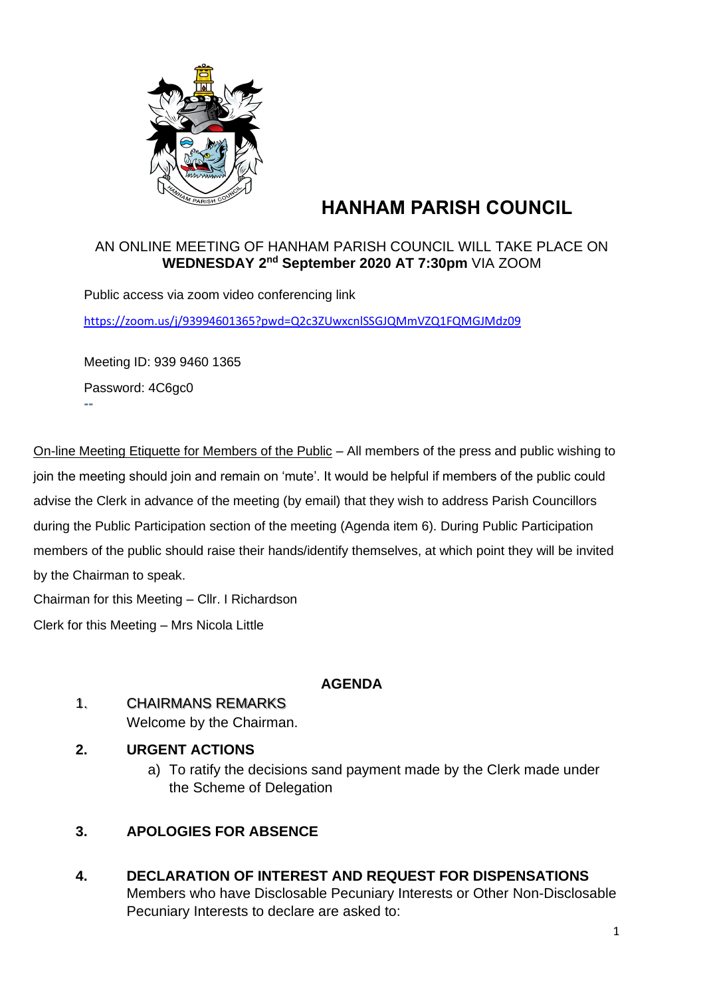

# **HANHAM PARISH COUNCIL**

#### AN ONLINE MEETING OF HANHAM PARISH COUNCIL WILL TAKE PLACE ON **WEDNESDAY 2 nd September 2020 AT 7:30pm** VIA ZOOM

Public access via zoom video conferencing link <https://zoom.us/j/93994601365?pwd=Q2c3ZUwxcnlSSGJQMmVZQ1FQMGJMdz09>

Meeting ID: 939 9460 1365 Password: 4C6gc0 **--**

On-line Meeting Etiquette for Members of the Public – All members of the press and public wishing to join the meeting should join and remain on 'mute'. It would be helpful if members of the public could advise the Clerk in advance of the meeting (by email) that they wish to address Parish Councillors during the Public Participation section of the meeting (Agenda item 6). During Public Participation members of the public should raise their hands/identify themselves, at which point they will be invited by the Chairman to speak.

Chairman for this Meeting – Cllr. I Richardson

Clerk for this Meeting – Mrs Nicola Little

## **AGENDA**

## 1. CHAIRMANS REMARKS

Welcome by the Chairman.

## **2. URGENT ACTIONS**

a) To ratify the decisions sand payment made by the Clerk made under the Scheme of Delegation

## **3. APOLOGIES FOR ABSENCE**

**4. DECLARATION OF INTEREST AND REQUEST FOR DISPENSATIONS** Members who have Disclosable Pecuniary Interests or Other Non-Disclosable Pecuniary Interests to declare are asked to: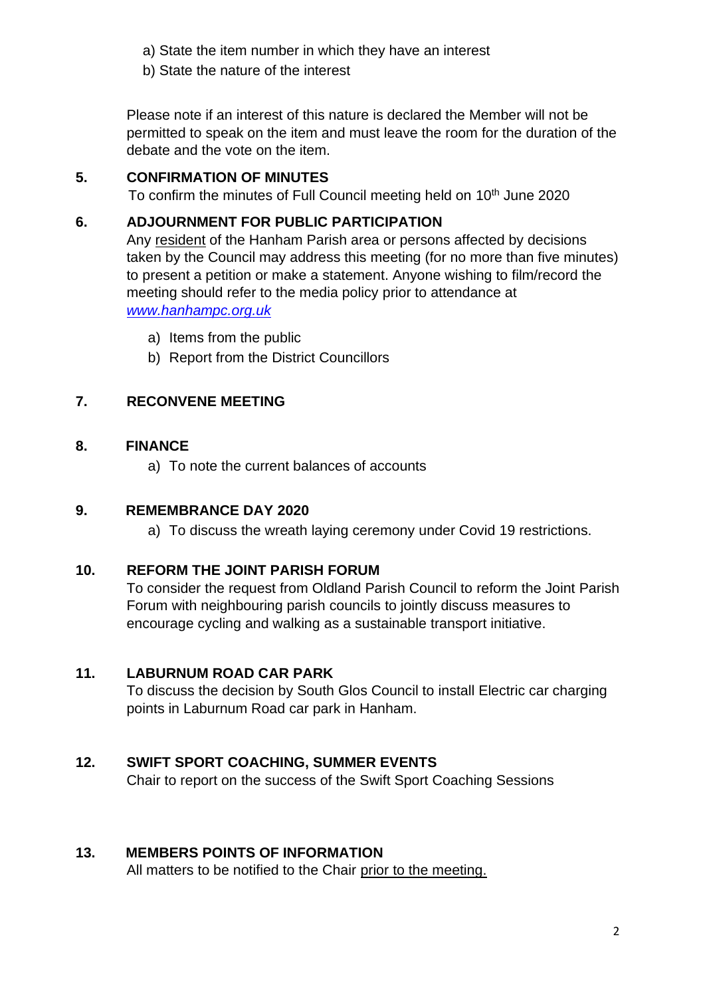- a) State the item number in which they have an interest
- b) State the nature of the interest

Please note if an interest of this nature is declared the Member will not be permitted to speak on the item and must leave the room for the duration of the debate and the vote on the item.

### **5. CONFIRMATION OF MINUTES**

To confirm the minutes of Full Council meeting held on 10<sup>th</sup> June 2020

#### **6. ADJOURNMENT FOR PUBLIC PARTICIPATION**

Any resident of the Hanham Parish area or persons affected by decisions taken by the Council may address this meeting (for no more than five minutes) to present a petition or make a statement. Anyone wishing to film/record the meeting should refer to the media policy prior to attendance at *[www.hanhampc.org.uk](http://www.hanhampc.org.uk/)*

- a) Items from the public
- b) Report from the District Councillors

## **7. RECONVENE MEETING**

#### **8. FINANCE**

a) To note the current balances of accounts

#### **9. REMEMBRANCE DAY 2020**

a) To discuss the wreath laying ceremony under Covid 19 restrictions.

#### **10. REFORM THE JOINT PARISH FORUM**

To consider the request from Oldland Parish Council to reform the Joint Parish Forum with neighbouring parish councils to jointly discuss measures to encourage cycling and walking as a sustainable transport initiative.

#### **11. LABURNUM ROAD CAR PARK**

To discuss the decision by South Glos Council to install Electric car charging points in Laburnum Road car park in Hanham.

## **12. SWIFT SPORT COACHING, SUMMER EVENTS**

Chair to report on the success of the Swift Sport Coaching Sessions

#### **13. MEMBERS POINTS OF INFORMATION**

All matters to be notified to the Chair prior to the meeting.